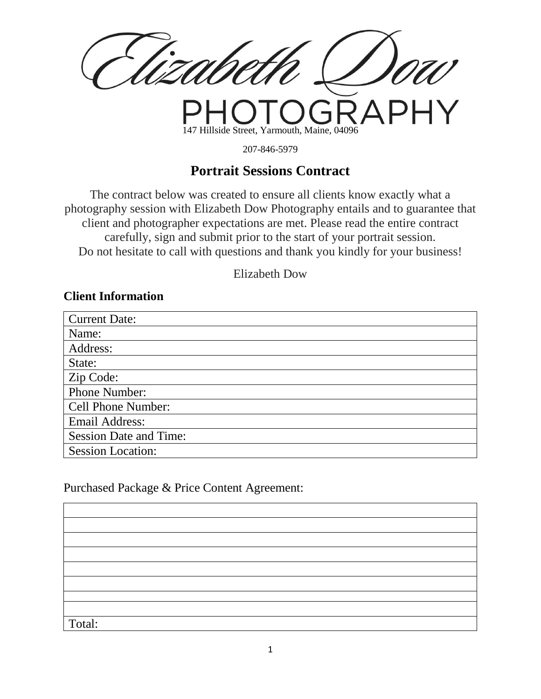147 Hillside Street, Yarmouth, Maine, 04096

207-846-5979

# **Portrait Sessions Contract**

The contract below was created to ensure all clients know exactly what a photography session with Elizabeth Dow Photography entails and to guarantee that client and photographer expectations are met. Please read the entire contract carefully, sign and submit prior to the start of your portrait session. Do not hesitate to call with questions and thank you kindly for your business!

Elizabeth Dow

### **Client Information**

| <b>Current Date:</b>          |
|-------------------------------|
| Name:                         |
| Address:                      |
| State:                        |
| Zip Code:                     |
| <b>Phone Number:</b>          |
| <b>Cell Phone Number:</b>     |
| <b>Email Address:</b>         |
| <b>Session Date and Time:</b> |
| <b>Session Location:</b>      |

#### Purchased Package & Price Content Agreement:

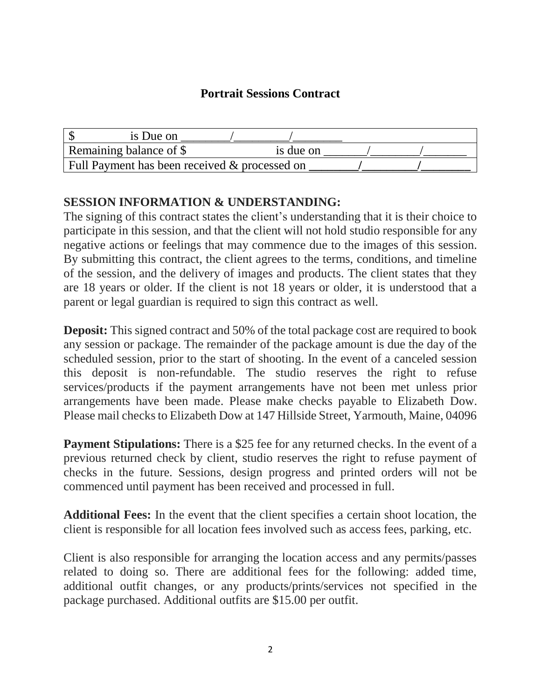## **Portrait Sessions Contract**

| is Due on                                     |           |  |
|-----------------------------------------------|-----------|--|
| Remaining balance of \$                       | is due on |  |
| Full Payment has been received & processed on |           |  |

## **SESSION INFORMATION & UNDERSTANDING:**

The signing of this contract states the client's understanding that it is their choice to participate in this session, and that the client will not hold studio responsible for any negative actions or feelings that may commence due to the images of this session. By submitting this contract, the client agrees to the terms, conditions, and timeline of the session, and the delivery of images and products. The client states that they are 18 years or older. If the client is not 18 years or older, it is understood that a parent or legal guardian is required to sign this contract as well.

**Deposit:** This signed contract and 50% of the total package cost are required to book any session or package. The remainder of the package amount is due the day of the scheduled session, prior to the start of shooting. In the event of a canceled session this deposit is non-refundable. The studio reserves the right to refuse services/products if the payment arrangements have not been met unless prior arrangements have been made. Please make checks payable to Elizabeth Dow. Please mail checks to Elizabeth Dow at 147 Hillside Street, Yarmouth, Maine, 04096

**Payment Stipulations:** There is a \$25 fee for any returned checks. In the event of a previous returned check by client, studio reserves the right to refuse payment of checks in the future. Sessions, design progress and printed orders will not be commenced until payment has been received and processed in full.

**Additional Fees:** In the event that the client specifies a certain shoot location, the client is responsible for all location fees involved such as access fees, parking, etc.

Client is also responsible for arranging the location access and any permits/passes related to doing so. There are additional fees for the following: added time, additional outfit changes, or any products/prints/services not specified in the package purchased. Additional outfits are \$15.00 per outfit.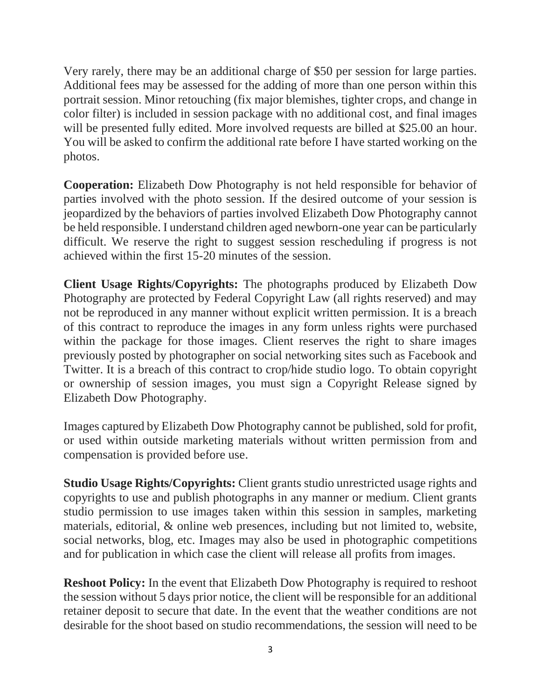Very rarely, there may be an additional charge of \$50 per session for large parties. Additional fees may be assessed for the adding of more than one person within this portrait session. Minor retouching (fix major blemishes, tighter crops, and change in color filter) is included in session package with no additional cost, and final images will be presented fully edited. More involved requests are billed at \$25.00 an hour. You will be asked to confirm the additional rate before I have started working on the photos.

**Cooperation:** Elizabeth Dow Photography is not held responsible for behavior of parties involved with the photo session. If the desired outcome of your session is jeopardized by the behaviors of parties involved Elizabeth Dow Photography cannot be held responsible. I understand children aged newborn-one year can be particularly difficult. We reserve the right to suggest session rescheduling if progress is not achieved within the first 15-20 minutes of the session.

**Client Usage Rights/Copyrights:** The photographs produced by Elizabeth Dow Photography are protected by Federal Copyright Law (all rights reserved) and may not be reproduced in any manner without explicit written permission. It is a breach of this contract to reproduce the images in any form unless rights were purchased within the package for those images. Client reserves the right to share images previously posted by photographer on social networking sites such as Facebook and Twitter. It is a breach of this contract to crop/hide studio logo. To obtain copyright or ownership of session images, you must sign a Copyright Release signed by Elizabeth Dow Photography.

Images captured by Elizabeth Dow Photography cannot be published, sold for profit, or used within outside marketing materials without written permission from and compensation is provided before use.

**Studio Usage Rights/Copyrights:** Client grants studio unrestricted usage rights and copyrights to use and publish photographs in any manner or medium. Client grants studio permission to use images taken within this session in samples, marketing materials, editorial, & online web presences, including but not limited to, website, social networks, blog, etc. Images may also be used in photographic competitions and for publication in which case the client will release all profits from images.

**Reshoot Policy:** In the event that Elizabeth Dow Photography is required to reshoot the session without 5 days prior notice, the client will be responsible for an additional retainer deposit to secure that date. In the event that the weather conditions are not desirable for the shoot based on studio recommendations, the session will need to be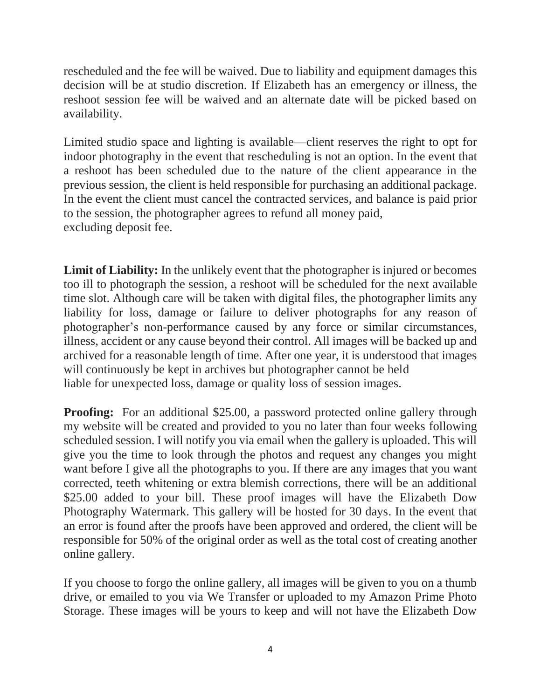rescheduled and the fee will be waived. Due to liability and equipment damages this decision will be at studio discretion. If Elizabeth has an emergency or illness, the reshoot session fee will be waived and an alternate date will be picked based on availability.

Limited studio space and lighting is available—client reserves the right to opt for indoor photography in the event that rescheduling is not an option. In the event that a reshoot has been scheduled due to the nature of the client appearance in the previous session, the client is held responsible for purchasing an additional package. In the event the client must cancel the contracted services, and balance is paid prior to the session, the photographer agrees to refund all money paid, excluding deposit fee.

Limit of Liability: In the unlikely event that the photographer is injured or becomes too ill to photograph the session, a reshoot will be scheduled for the next available time slot. Although care will be taken with digital files, the photographer limits any liability for loss, damage or failure to deliver photographs for any reason of photographer's non-performance caused by any force or similar circumstances, illness, accident or any cause beyond their control. All images will be backed up and archived for a reasonable length of time. After one year, it is understood that images will continuously be kept in archives but photographer cannot be held liable for unexpected loss, damage or quality loss of session images.

**Proofing:** For an additional \$25.00, a password protected online gallery through my website will be created and provided to you no later than four weeks following scheduled session. I will notify you via email when the gallery is uploaded. This will give you the time to look through the photos and request any changes you might want before I give all the photographs to you. If there are any images that you want corrected, teeth whitening or extra blemish corrections, there will be an additional \$25.00 added to your bill. These proof images will have the Elizabeth Dow Photography Watermark. This gallery will be hosted for 30 days. In the event that an error is found after the proofs have been approved and ordered, the client will be responsible for 50% of the original order as well as the total cost of creating another online gallery.

If you choose to forgo the online gallery, all images will be given to you on a thumb drive, or emailed to you via We Transfer or uploaded to my Amazon Prime Photo Storage. These images will be yours to keep and will not have the Elizabeth Dow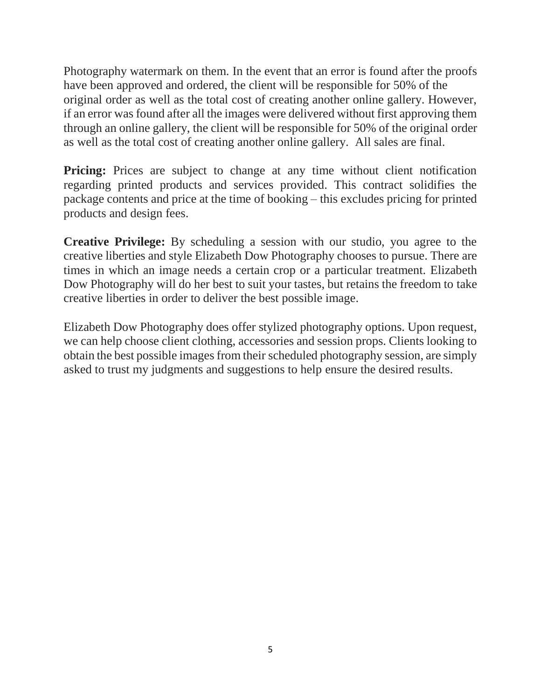Photography watermark on them. In the event that an error is found after the proofs have been approved and ordered, the client will be responsible for 50% of the original order as well as the total cost of creating another online gallery. However, if an error was found after all the images were delivered without first approving them through an online gallery, the client will be responsible for 50% of the original order as well as the total cost of creating another online gallery. All sales are final.

**Pricing:** Prices are subject to change at any time without client notification regarding printed products and services provided. This contract solidifies the package contents and price at the time of booking – this excludes pricing for printed products and design fees.

**Creative Privilege:** By scheduling a session with our studio, you agree to the creative liberties and style Elizabeth Dow Photography chooses to pursue. There are times in which an image needs a certain crop or a particular treatment. Elizabeth Dow Photography will do her best to suit your tastes, but retains the freedom to take creative liberties in order to deliver the best possible image.

Elizabeth Dow Photography does offer stylized photography options. Upon request, we can help choose client clothing, accessories and session props. Clients looking to obtain the best possible images from their scheduled photography session, are simply asked to trust my judgments and suggestions to help ensure the desired results.